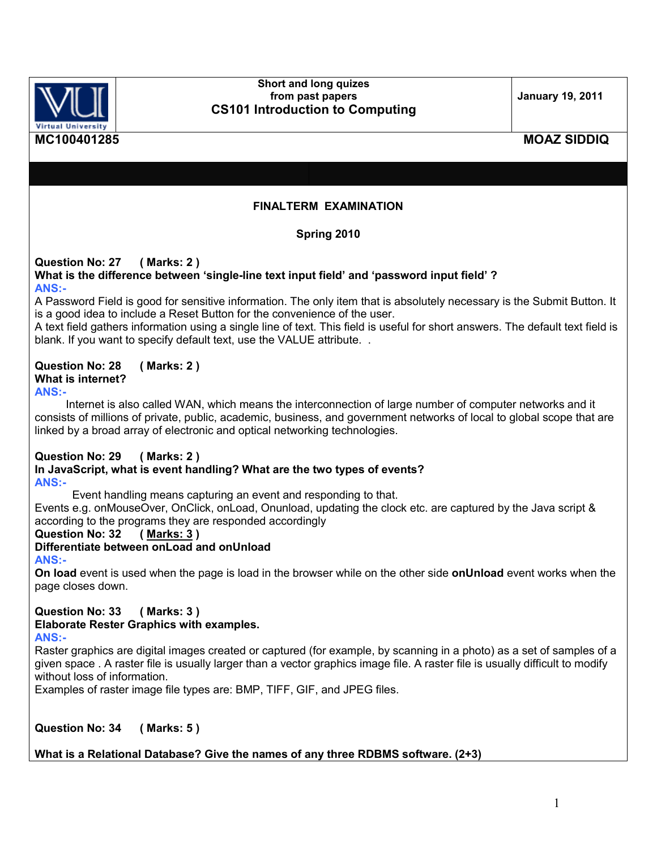

#### **Short and long quizes from past papers CS101 Introduction to Computing**

**January 19, 2011** 

## **MC100401285 MOAZ SIDDIQ**

### **FINALTERM EXAMINATION**

### **Spring 2010**

#### **Question No: 27 ( Marks: 2 )**

#### **What is the difference between 'single-line text input field' and 'password input field' ? ANS:-**

A Password Field is good for sensitive information. The only item that is absolutely necessary is the Submit Button. It is a good idea to include a Reset Button for the convenience of the user.

A text field gathers information using a single line of text. This field is useful for short answers. The default text field is blank. If you want to specify default text, use the VALUE attribute..

#### **Question No: 28 ( Marks: 2 ) What is internet? ANS:-**

 Internet is also called WAN, which means the interconnection of large number of computer networks and it consists of millions of private, public, academic, business, and government networks of local to global scope that are linked by a broad array of electronic and optical networking technologies.

## **Question No: 29 ( Marks: 2 )**

#### **In JavaScript, what is event handling? What are the two types of events? ANS:-**

Event handling means capturing an event and responding to that.

Events e.g. onMouseOver, OnClick, onLoad, Onunload, updating the clock etc. are captured by the Java script & according to the programs they are responded accordingly<br>Question No: 32 ( Marks: 3 )

**Question No: 32** 

### **Differentiate between onLoad and onUnload**

**ANS:-**

**On load** event is used when the page is load in the browser while on the other side **onUnload** event works when the page closes down.

## **Question No: 33 ( Marks: 3 ) Elaborate Rester Graphics with examples.**

#### **ANS:-**

Raster graphics are digital images created or captured (for example, by scanning in a photo) as a set of samples of a given space . A raster file is usually larger than a vector graphics image file. A raster file is usually difficult to modify without loss of information.

Examples of raster image file types are: BMP, TIFF, GIF, and JPEG files.

**Question No: 34 ( Marks: 5 )**

### **What is a Relational Database? Give the names of any three RDBMS software. (2+3)**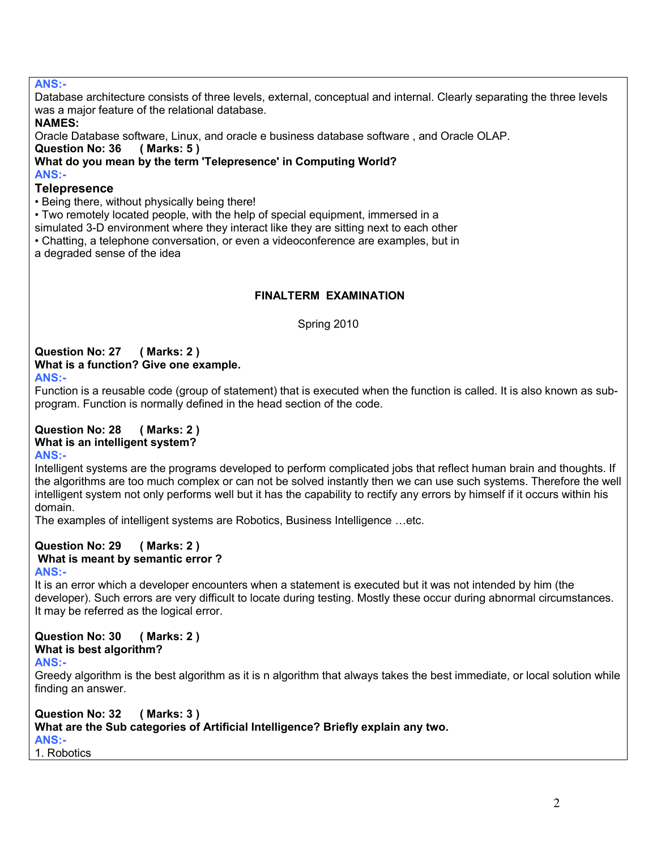### **ANS:-**

Database architecture consists of three levels, external, conceptual and internal. Clearly separating the three levels was a major feature of the relational database.

### **NAMES:**

Oracle Database software, Linux, and oracle e business database software , and Oracle OLAP.

**Question No: 36 ( Marks: 5 )** 

**What do you mean by the term 'Telepresence' in Computing World?**

**ANS:-** 

#### **Telepresence**

• Being there, without physically being there!

• Two remotely located people, with the help of special equipment, immersed in a

simulated 3-D environment where they interact like they are sitting next to each other

• Chatting, a telephone conversation, or even a videoconference are examples, but in

a degraded sense of the idea

### **FINALTERM EXAMINATION**

Spring 2010

#### **Question No: 27 ( Marks: 2 ) What is a function? Give one example.**

**ANS:-** 

Function is a reusable code (group of statement) that is executed when the function is called. It is also known as subprogram. Function is normally defined in the head section of the code.

### **Question No: 28 ( Marks: 2 ) What is an intelligent system?**

#### **ANS:-**

Intelligent systems are the programs developed to perform complicated jobs that reflect human brain and thoughts. If the algorithms are too much complex or can not be solved instantly then we can use such systems. Therefore the well intelligent system not only performs well but it has the capability to rectify any errors by himself if it occurs within his domain.

The examples of intelligent systems are Robotics, Business Intelligence …etc.

### **Question No: 29 ( Marks: 2 ) What is meant by semantic error ?**

#### **ANS:-**

It is an error which a developer encounters when a statement is executed but it was not intended by him (the developer). Such errors are very difficult to locate during testing. Mostly these occur during abnormal circumstances. It may be referred as the logical error.

#### **Question No: 30 ( Marks: 2 ) What is best algorithm?**

### **ANS:-**

Greedy algorithm is the best algorithm as it is n algorithm that always takes the best immediate, or local solution while finding an answer.

#### **Question No: 32 ( Marks: 3 ) What are the Sub categories of Artificial Intelligence? Briefly explain any two. ANS:-**  1. Robotics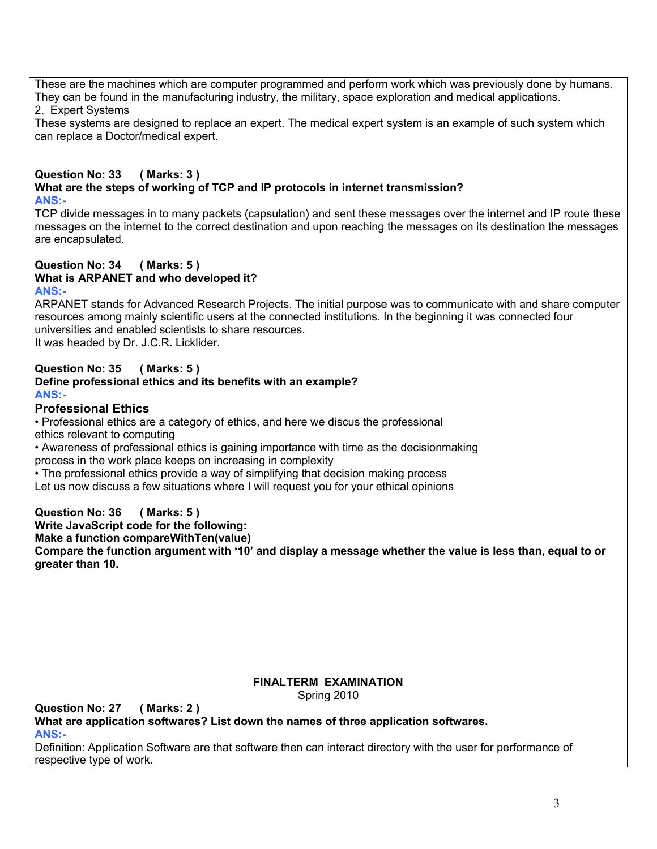These are the machines which are computer programmed and perform work which was previously done by humans. They can be found in the manufacturing industry, the military, space exploration and medical applications.

2. Expert Systems

These systems are designed to replace an expert. The medical expert system is an example of such system which can replace a Doctor/medical expert.

#### **Question No: 33 ( Marks: 3 ) What are the steps of working of TCP and IP protocols in internet transmission? ANS:-**

TCP divide messages in to many packets (capsulation) and sent these messages over the internet and IP route these messages on the internet to the correct destination and upon reaching the messages on its destination the messages are encapsulated.

#### **Question No: 34 ( Marks: 5 ) What is ARPANET and who developed it? ANS:-**

ARPANET stands for Advanced Research Projects. The initial purpose was to communicate with and share computer resources among mainly scientific users at the connected institutions. In the beginning it was connected four universities and enabled scientists to share resources.

It was headed by Dr. J.C.R. Licklider.

#### **Question No: 35 ( Marks: 5 ) Define professional ethics and its benefits with an example? ANS:-**

### **Professional Ethics**

• Professional ethics are a category of ethics, and here we discus the professional ethics relevant to computing

• Awareness of professional ethics is gaining importance with time as the decisionmaking

process in the work place keeps on increasing in complexity

• The professional ethics provide a way of simplifying that decision making process

Let us now discuss a few situations where I will request you for your ethical opinions

**Question No: 36 ( Marks: 5 )** 

**Write JavaScript code for the following:**

**Make a function compareWithTen(value)**

**Compare the function argument with '10' and display a message whether the value is less than, equal to or greater than 10.**

### **FINALTERM EXAMINATION**

Spring 2010

**Question No: 27 ( Marks: 2 ) What are application softwares? List down the names of three application softwares. ANS:-** 

Definition: Application Software are that software then can interact directory with the user for performance of respective type of work.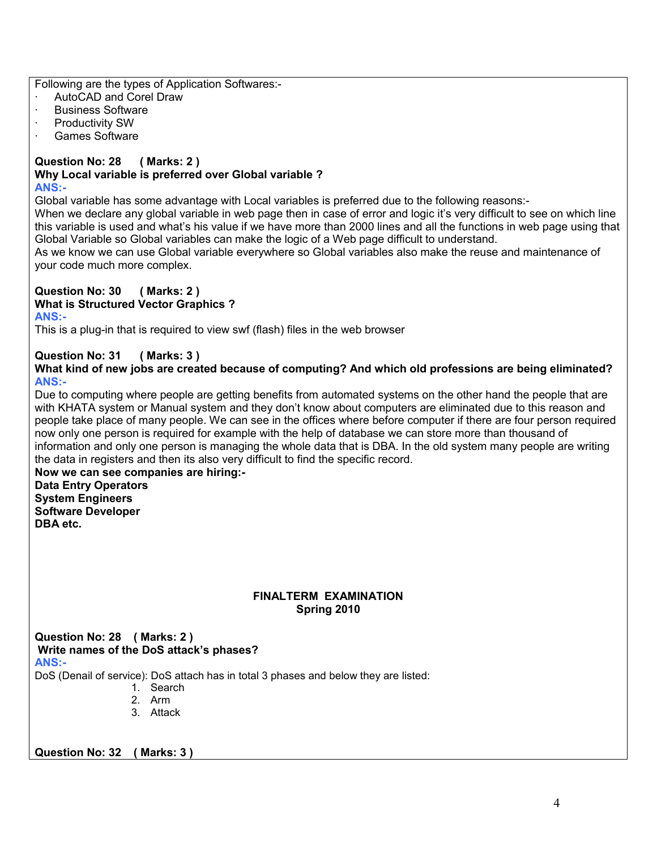Following are the types of Application Softwares:-

- AutoCAD and Corel Draw
- · Business Software
- Productivity SW
- · Games Software

#### **Question No: 28 ( Marks: 2 ) Why Local variable is preferred over Global variable ? ANS:-**

Global variable has some advantage with Local variables is preferred due to the following reasons:-

When we declare any global variable in web page then in case of error and logic it's very difficult to see on which line this variable is used and what's his value if we have more than 2000 lines and all the functions in web page using that Global Variable so Global variables can make the logic of a Web page difficult to understand.

As we know we can use Global variable everywhere so Global variables also make the reuse and maintenance of your code much more complex.

#### **Question No: 30 ( Marks: 2 ) What is Structured Vector Graphics ?**

### **ANS:-**

This is a plug-in that is required to view swf (flash) files in the web browser

## **Question No: 31 ( Marks: 3 )**

**What kind of new jobs are created because of computing? And which old professions are being eliminated? ANS:-** 

Due to computing where people are getting benefits from automated systems on the other hand the people that are with KHATA system or Manual system and they don't know about computers are eliminated due to this reason and people take place of many people. We can see in the offices where before computer if there are four person required now only one person is required for example with the help of database we can store more than thousand of information and only one person is managing the whole data that is DBA. In the old system many people are writing the data in registers and then its also very difficult to find the specific record.

**Now we can see companies are hiring:- Data Entry Operators System Engineers Software Developer DBA etc.**

### **FINALTERM EXAMINATION Spring 2010**

**Question No: 28 ( Marks: 2 ) Write names of the DoS attack's phases? ANS:-** 

DoS (Denail of service): DoS attach has in total 3 phases and below they are listed:

- 1. Search
- 2. Arm
- 3. Attack

**Question No: 32 ( Marks: 3 )**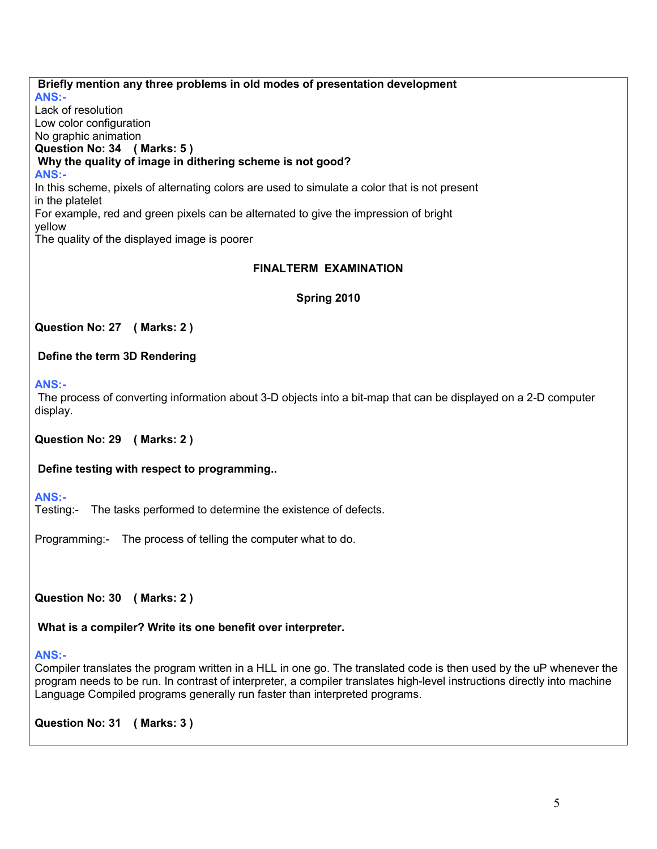**Briefly mention any three problems in old modes of presentation development ANS:-**  Lack of resolution Low color configuration No graphic animation **Question No: 34 ( Marks: 5 ) Why the quality of image in dithering scheme is not good? ANS:-**  In this scheme, pixels of alternating colors are used to simulate a color that is not present in the platelet For example, red and green pixels can be alternated to give the impression of bright yellow The quality of the displayed image is poorer

### **FINALTERM EXAMINATION**

**Spring 2010** 

**Question No: 27 ( Marks: 2 )**

 **Define the term 3D Rendering** 

**ANS:-** 

The process of converting information about 3-D objects into a bit-map that can be displayed on a 2-D computer display.

**Question No: 29 ( Marks: 2 )**

 **Define testing with respect to programming..** 

**ANS:-** 

Testing:- The tasks performed to determine the existence of defects.

Programming:- The process of telling the computer what to do.

**Question No: 30 ( Marks: 2 )**

 **What is a compiler? Write its one benefit over interpreter.** 

#### **ANS:-**

Compiler translates the program written in a HLL in one go. The translated code is then used by the uP whenever the program needs to be run. In contrast of interpreter, a compiler translates high-level instructions directly into machine Language Compiled programs generally run faster than interpreted programs.

**Question No: 31 ( Marks: 3 )**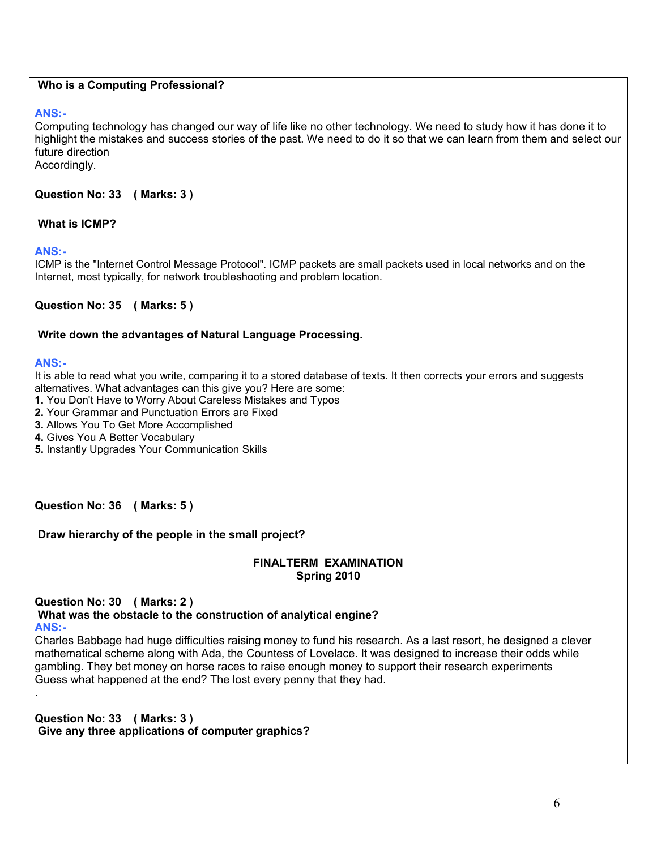### **Who is a Computing Professional?**

### **ANS:-**

Computing technology has changed our way of life like no other technology. We need to study how it has done it to highlight the mistakes and success stories of the past. We need to do it so that we can learn from them and select our future direction

Accordingly.

**Question No: 33 ( Marks: 3 )**

### **What is ICMP?**

### **ANS:-**

ICMP is the "Internet Control Message Protocol". ICMP packets are small packets used in local networks and on the Internet, most typically, for network troubleshooting and problem location.

### **Question No: 35 ( Marks: 5 )**

### **Write down the advantages of Natural Language Processing.**

#### **ANS:-**

.

It is able to read what you write, comparing it to a stored database of texts. It then corrects your errors and suggests alternatives. What advantages can this give you? Here are some:

- **1.** You Don't Have to Worry About Careless Mistakes and Typos
- **2.** Your Grammar and Punctuation Errors are Fixed
- **3.** Allows You To Get More Accomplished
- **4.** Gives You A Better Vocabulary
- **5.** Instantly Upgrades Your Communication Skills

**Question No: 36 ( Marks: 5 )**

 **Draw hierarchy of the people in the small project?**

#### **FINALTERM EXAMINATION Spring 2010**

**Question No: 30 ( Marks: 2 )** 

 **What was the obstacle to the construction of analytical engine? ANS:-** 

Charles Babbage had huge difficulties raising money to fund his research. As a last resort, he designed a clever mathematical scheme along with Ada, the Countess of Lovelace. It was designed to increase their odds while gambling. They bet money on horse races to raise enough money to support their research experiments Guess what happened at the end? The lost every penny that they had.

**Question No: 33 ( Marks: 3 ) Give any three applications of computer graphics?**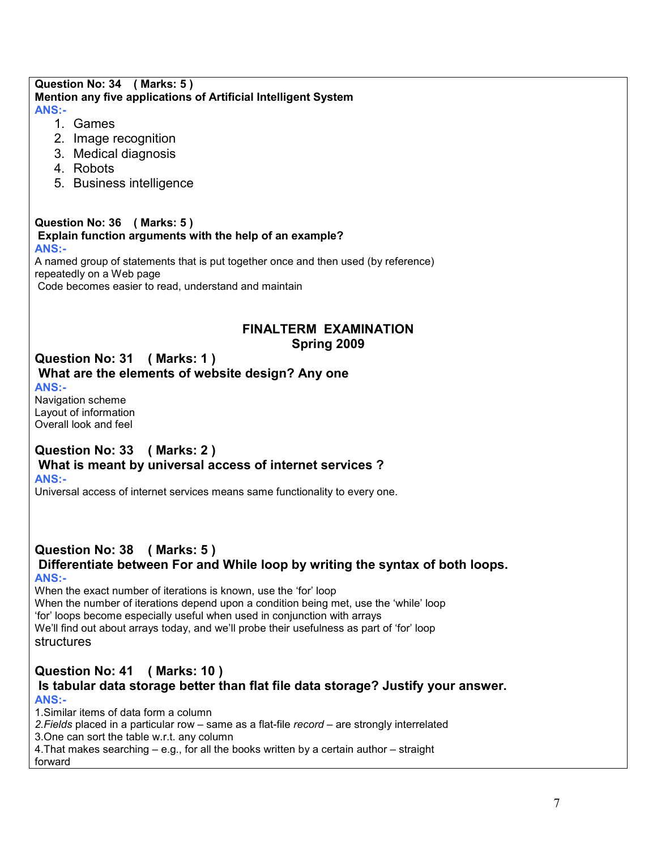### **Question No: 34 ( Marks: 5 ) Mention any five applications of Artificial Intelligent System ANS:-**

- 1. Games
- 2. Image recognition
- 3. Medical diagnosis
- 4. Robots
- 5. Business intelligence

#### **Question No: 36 ( Marks: 5 ) Explain function arguments with the help of an example? ANS:-**

A named group of statements that is put together once and then used (by reference) repeatedly on a Web page Code becomes easier to read, understand and maintain

### **FINALTERM EXAMINATION Spring 2009**

#### **Question No: 31 ( Marks: 1 ) What are the elements of website design? Any one ANS:-**

Navigation scheme Layout of information Overall look and feel

## **Question No: 33 ( Marks: 2 ) What is meant by universal access of internet services ?**

**ANS:-** 

Universal access of internet services means same functionality to every one.

# **Question No: 38 ( Marks: 5 )**

### **Differentiate between For and While loop by writing the syntax of both loops. ANS:-**

When the exact number of iterations is known, use the 'for' loop When the number of iterations depend upon a condition being met, use the 'while' loop 'for' loops become especially useful when used in conjunction with arrays We'll find out about arrays today, and we'll probe their usefulness as part of 'for' loop structures

### **Question No: 41 ( Marks: 10 ) Is tabular data storage better than flat file data storage? Justify your answer. ANS:-**

1.Similar items of data form a column

*2.Fields* placed in a particular row – same as a flat-file *record* – are strongly interrelated

3.One can sort the table w.r.t. any column

4.That makes searching – e.g., for all the books written by a certain author – straight

forward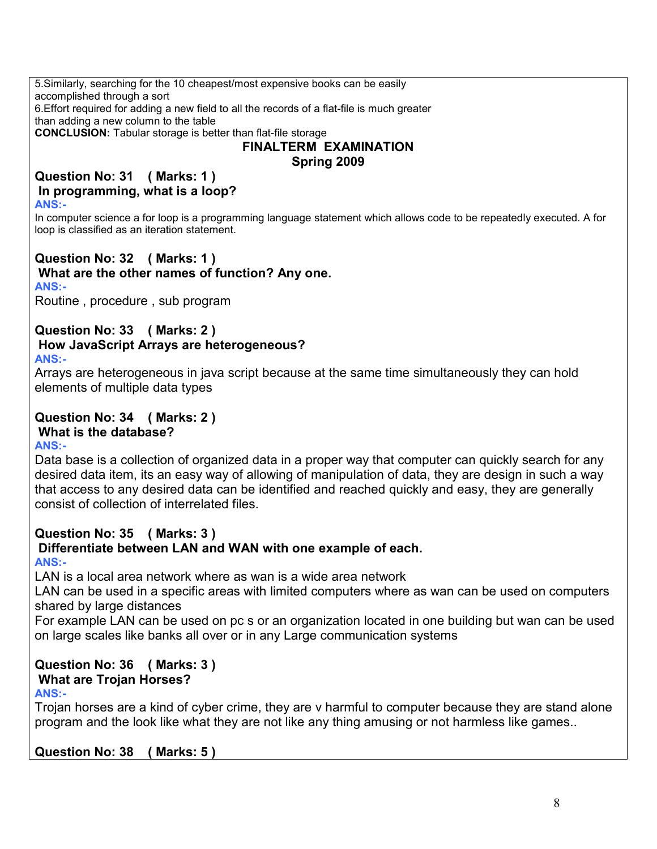5.Similarly, searching for the 10 cheapest/most expensive books can be easily accomplished through a sort 6.Effort required for adding a new field to all the records of a flat-file is much greater than adding a new column to the table **CONCLUSION:** Tabular storage is better than flat-file storage

# **FINALTERM EXAMINATION Spring 2009**

**Question No: 31 ( Marks: 1 ) In programming, what is a loop? ANS:-** 

In computer science a for loop is a programming language statement which allows code to be repeatedly executed. A for loop is classified as an iteration statement.

**Question No: 32 ( Marks: 1 ) What are the other names of function? Any one. ANS:-** 

Routine , procedure , sub program

# **Question No: 33 ( Marks: 2 )**

# **How JavaScript Arrays are heterogeneous?**

**ANS:-** 

Arrays are heterogeneous in java script because at the same time simultaneously they can hold elements of multiple data types

#### **Question No: 34 ( Marks: 2 ) What is the database? ANS:-**

Data base is a collection of organized data in a proper way that computer can quickly search for any desired data item, its an easy way of allowing of manipulation of data, they are design in such a way that access to any desired data can be identified and reached quickly and easy, they are generally consist of collection of interrelated files.

# **Question No: 35 ( Marks: 3 )**

# **Differentiate between LAN and WAN with one example of each.**

**ANS:-** 

LAN is a local area network where as wan is a wide area network

LAN can be used in a specific areas with limited computers where as wan can be used on computers shared by large distances

For example LAN can be used on pc s or an organization located in one building but wan can be used on large scales like banks all over or in any Large communication systems

## **Question No: 36 ( Marks: 3 ) What are Trojan Horses?**

## **ANS:-**

Trojan horses are a kind of cyber crime, they are v harmful to computer because they are stand alone program and the look like what they are not like any thing amusing or not harmless like games..

**Question No: 38 ( Marks: 5 )**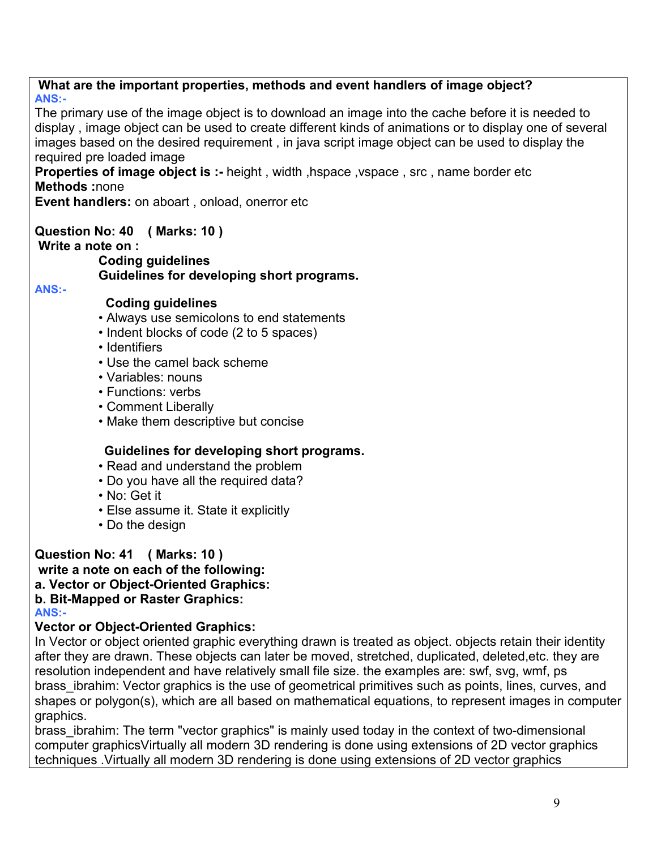**What are the important properties, methods and event handlers of image object? ANS:-**  The primary use of the image object is to download an image into the cache before it is needed to display , image object can be used to create different kinds of animations or to display one of several images based on the desired requirement , in java script image object can be used to display the required pre loaded image **Properties of image object is :- height, width, hspace, vspace, src, name border etc Methods :**none **Event handlers:** on aboart , onload, onerror etc **Question No: 40 ( Marks: 10 ) Write a note on : Coding guidelines Guidelines for developing short programs. ANS:- Coding guidelines** • Always use semicolons to end statements • Indent blocks of code (2 to 5 spaces) • Identifiers • Use the camel back scheme • Variables: nouns • Functions: verbs • Comment Liberally • Make them descriptive but concise  **Guidelines for developing short programs.** • Read and understand the problem • Do you have all the required data? • No: Get it • Else assume it. State it explicitly • Do the design **Question No: 41 ( Marks: 10 ) write a note on each of the following: a. Vector or Object-Oriented Graphics: b. Bit-Mapped or Raster Graphics:** 

**ANS:-** 

## **Vector or Object-Oriented Graphics:**

In Vector or object oriented graphic everything drawn is treated as object. objects retain their identity after they are drawn. These objects can later be moved, stretched, duplicated, deleted,etc. they are resolution independent and have relatively small file size. the examples are: swf, svg, wmf, ps brass ibrahim: Vector graphics is the use of geometrical primitives such as points, lines, curves, and shapes or polygon(s), which are all based on mathematical equations, to represent images in computer graphics.

brass ibrahim: The term "vector graphics" is mainly used today in the context of two-dimensional computer graphicsVirtually all modern 3D rendering is done using extensions of 2D vector graphics techniques .Virtually all modern 3D rendering is done using extensions of 2D vector graphics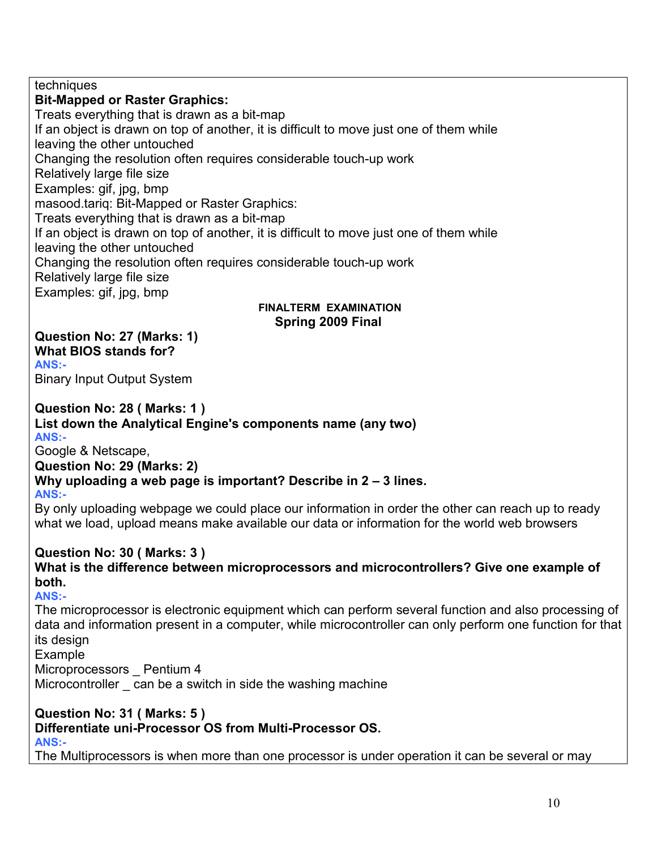techniques

**Bit-Mapped or Raster Graphics:**

Treats everything that is drawn as a bit-map If an object is drawn on top of another, it is difficult to move just one of them while leaving the other untouched Changing the resolution often requires considerable touch-up work Relatively large file size Examples: gif, jpg, bmp masood.tariq: Bit-Mapped or Raster Graphics: Treats everything that is drawn as a bit-map If an object is drawn on top of another, it is difficult to move just one of them while leaving the other untouched Changing the resolution often requires considerable touch-up work Relatively large file size Examples: gif, jpg, bmp

### **FINALTERM EXAMINATION Spring 2009 Final**

**Question No: 27 (Marks: 1) What BIOS stands for? ANS:-** 

Binary Input Output System

## **Question No: 28 ( Marks: 1 ) List down the Analytical Engine's components name (any two) ANS:-**

Google & Netscape, **Question No: 29 (Marks: 2)** 

# **Why uploading a web page is important? Describe in 2 – 3 lines.**

## **ANS:-**

By only uploading webpage we could place our information in order the other can reach up to ready what we load, upload means make available our data or information for the world web browsers

## **Question No: 30 ( Marks: 3 )**

**What is the difference between microprocessors and microcontrollers? Give one example of both. ANS:-** 

The microprocessor is electronic equipment which can perform several function and also processing of data and information present in a computer, while microcontroller can only perform one function for that its design

Example

Microprocessors Pentium 4

Microcontroller can be a switch in side the washing machine

## **Question No: 31 ( Marks: 5 )**

**Differentiate uni-Processor OS from Multi-Processor OS.**

**ANS:-** 

The Multiprocessors is when more than one processor is under operation it can be several or may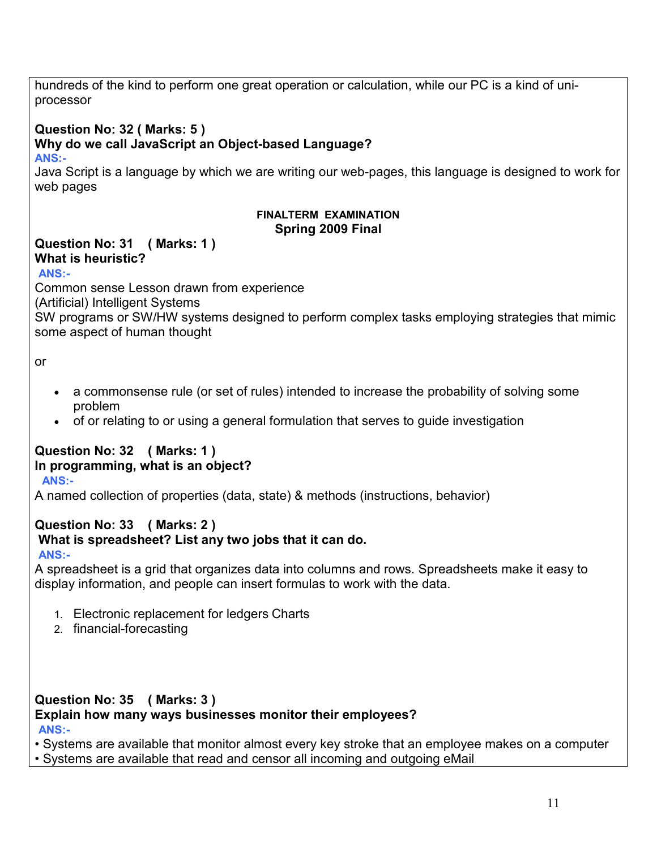hundreds of the kind to perform one great operation or calculation, while our PC is a kind of uniprocessor **Question No: 32 ( Marks: 5 ) Why do we call JavaScript an Object-based Language? ANS:-**  Java Script is a language by which we are writing our web-pages, this language is designed to work for web pages **FINALTERM EXAMINATION Spring 2009 Final Question No: 31 ( Marks: 1 ) What is heuristic? ANS:-** Common sense Lesson drawn from experience (Artificial) Intelligent Systems SW programs or SW/HW systems designed to perform complex tasks employing strategies that mimic some aspect of human thought or • a commonsense rule (or set of rules) intended to increase the probability of solving some problem • of or relating to or using a general formulation that serves to guide investigation **Question No: 32 ( Marks: 1 ) In programming, what is an object? ANS:-** A named collection of properties (data, state) & methods (instructions, behavior) **Question No: 33 ( Marks: 2 ) What is spreadsheet? List any two jobs that it can do. ANS:-** A spreadsheet is a grid that organizes data into columns and rows. Spreadsheets make it easy to display information, and people can insert formulas to work with the data. 1. Electronic replacement for ledgers Charts 2. financial-forecasting **Question No: 35 ( Marks: 3 ) Explain how many ways businesses monitor their employees?** 

**ANS:-**

• Systems are available that monitor almost every key stroke that an employee makes on a computer

• Systems are available that read and censor all incoming and outgoing eMail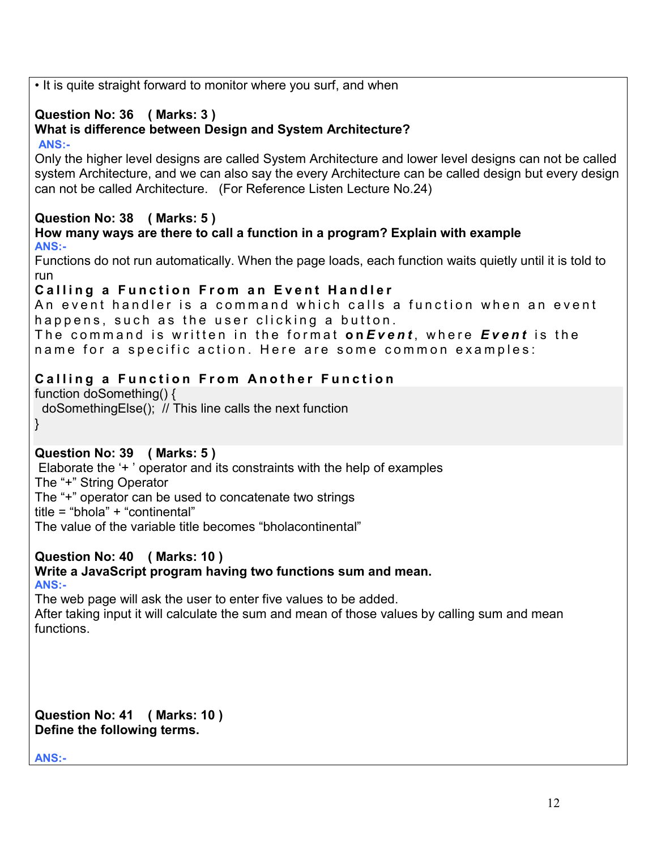• It is quite straight forward to monitor where you surf, and when **Question No: 36 ( Marks: 3 ) What is difference between Design and System Architecture? ANS:-** Only the higher level designs are called System Architecture and lower level designs can not be called system Architecture, and we can also say the every Architecture can be called design but every design can not be called Architecture. (For Reference Listen Lecture No.24) **Question No: 38 ( Marks: 5 ) How many ways are there to call a function in a program? Explain with example ANS:-** Functions do not run automatically. When the page loads, each function waits quietly until it is told to run **Calling a Function From an Event Handler** An event handler is a command which calls a function when an event happens, such as the user clicking a button. The command is written in the format onEvent, where Event is the name for a specific action. Here are some common examples: **Calling a Function From Another Function** function doSomething() { doSomethingElse(); // This line calls the next function } **Question No: 39 ( Marks: 5 )**  Elaborate the '+ ' operator and its constraints with the help of examples The "+" String Operator The "+" operator can be used to concatenate two strings title = "bhola" + "continental" The value of the variable title becomes "bholacontinental" **Question No: 40 ( Marks: 10 ) Write a JavaScript program having two functions sum and mean. ANS:-** The web page will ask the user to enter five values to be added. After taking input it will calculate the sum and mean of those values by calling sum and mean functions. **Question No: 41 ( Marks: 10 ) Define the following terms.** 

**ANS:-**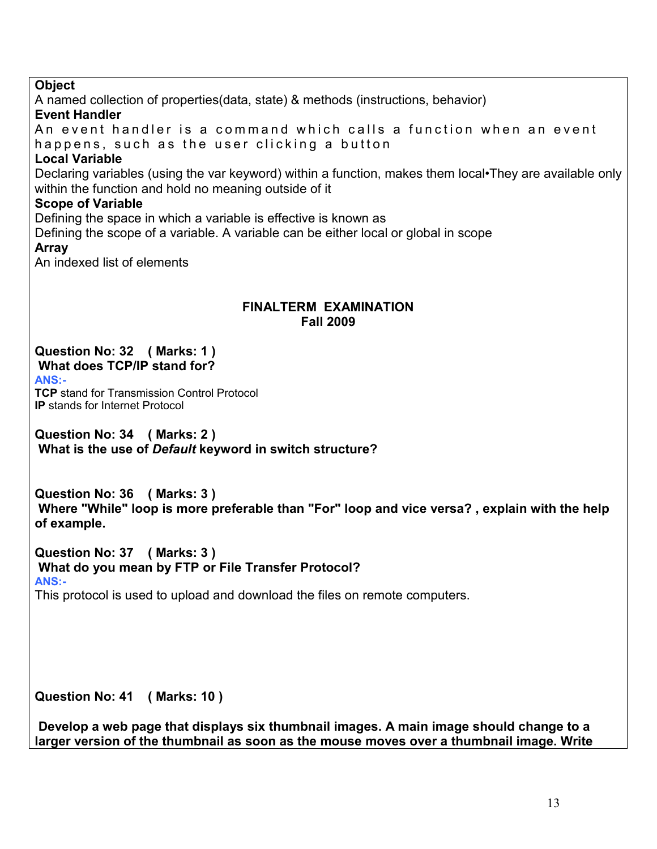## **Object**

A named collection of properties(data, state) & methods (instructions, behavior) **Event Handler** An event handler is a command which calls a function when an event

happens, such as the user clicking a button

## **Local Variable**

Declaring variables (using the var keyword) within a function, makes them local•They are available only within the function and hold no meaning outside of it

## **Scope of Variable**

Defining the space in which a variable is effective is known as

Defining the scope of a variable. A variable can be either local or global in scope **Array**

An indexed list of elements

### **FINALTERM EXAMINATION Fall 2009**

## **Question No: 32 ( Marks: 1 ) What does TCP/IP stand for?**

**ANS:-**

**TCP** stand for Transmission Control Protocol **IP** stands for Internet Protocol

**Question No: 34 ( Marks: 2 ) What is the use of** *Default* **keyword in switch structure?**

**Question No: 36 ( Marks: 3 ) Where "While" loop is more preferable than "For" loop and vice versa? , explain with the help of example.**

**Question No: 37 ( Marks: 3 ) What do you mean by FTP or File Transfer Protocol? ANS:-**

This protocol is used to upload and download the files on remote computers.

**Question No: 41 ( Marks: 10 )**

 **Develop a web page that displays six thumbnail images. A main image should change to a larger version of the thumbnail as soon as the mouse moves over a thumbnail image. Write**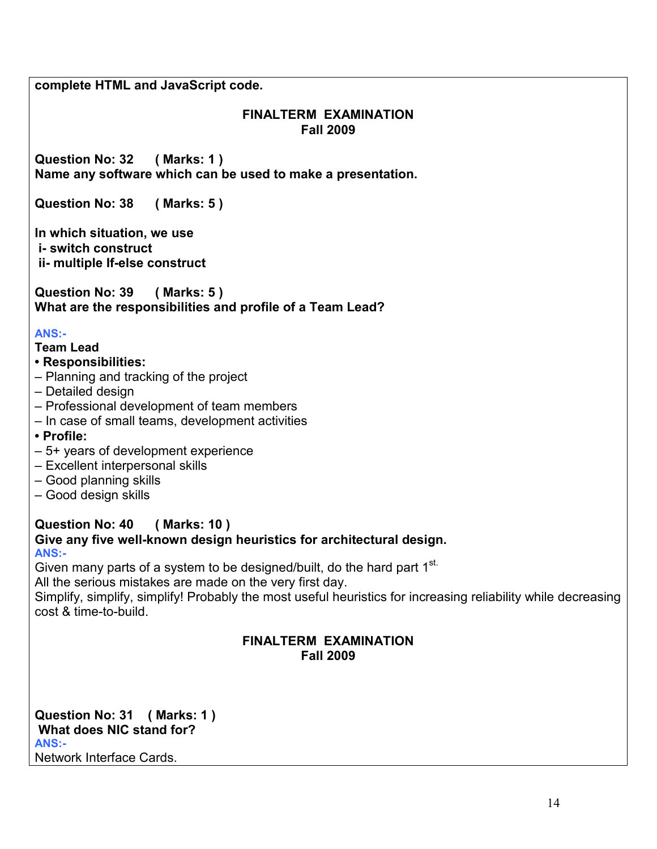**complete HTML and JavaScript code.**

## **FINALTERM EXAMINATION Fall 2009**

**Question No: 32 ( Marks: 1 ) Name any software which can be used to make a presentation.**

**Question No: 38 ( Marks: 5 )**

**In which situation, we use i- switch construct ii- multiple If-else construct**

**Question No: 39 ( Marks: 5 ) What are the responsibilities and profile of a Team Lead?** 

## **ANS:-**

## **Team Lead**

- **Responsibilities:**
- Planning and tracking of the project
- Detailed design
- Professional development of team members
- In case of small teams, development activities
- **Profile:**
- 5+ years of development experience
- Excellent interpersonal skills
- Good planning skills
- Good design skills

## **Question No: 40 ( Marks: 10 ) Give any five well-known design heuristics for architectural design. ANS:-**

Given many parts of a system to be designed/built, do the hard part 1<sup>st.</sup>

All the serious mistakes are made on the very first day.

Simplify, simplify, simplify! Probably the most useful heuristics for increasing reliability while decreasing cost & time-to-build.

## **FINALTERM EXAMINATION Fall 2009**

**Question No: 31 ( Marks: 1 ) What does NIC stand for? ANS:-** Network Interface Cards.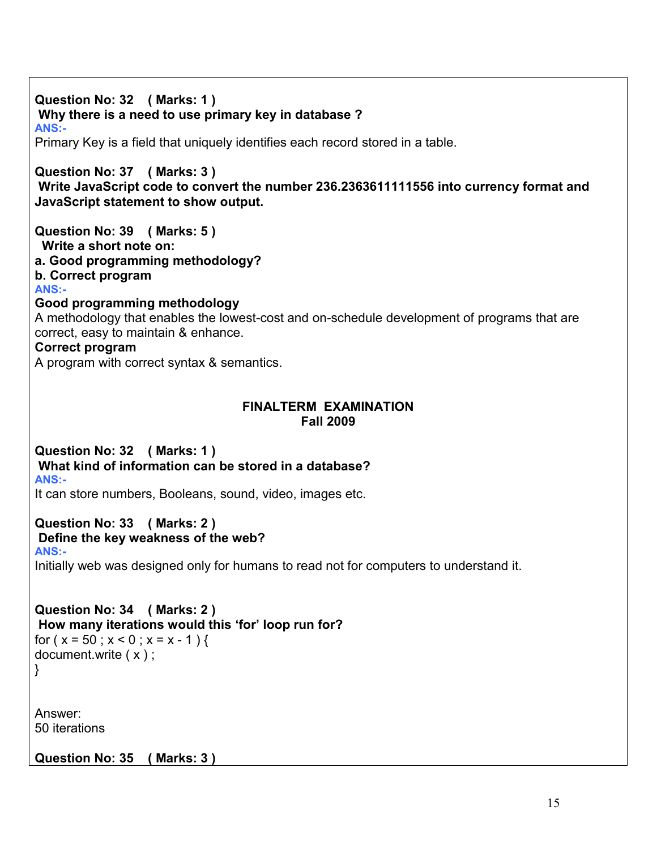**Question No: 32 ( Marks: 1 ) Why there is a need to use primary key in database ? ANS:-** Primary Key is a field that uniquely identifies each record stored in a table. **Question No: 37 ( Marks: 3 ) Write JavaScript code to convert the number 236.2363611111556 into currency format and JavaScript statement to show output. Question No: 39 ( Marks: 5 ) Write a short note on: a. Good programming methodology? b. Correct program ANS:- Good programming methodology**  A methodology that enables the lowest-cost and on-schedule development of programs that are correct, easy to maintain & enhance. **Correct program**  A program with correct syntax & semantics. **FINALTERM EXAMINATION Fall 2009 Question No: 32 ( Marks: 1 ) What kind of information can be stored in a database? ANS:-** It can store numbers, Booleans, sound, video, images etc. **Question No: 33 ( Marks: 2 ) Define the key weakness of the web? ANS:-** Initially web was designed only for humans to read not for computers to understand it. **Question No: 34 ( Marks: 2 ) How many iterations would this 'for' loop run for?** for  $(x = 50; x < 0; x = x - 1)$ document.write ( x ) ; } Answer: 50 iterations **Question No: 35 ( Marks: 3 )**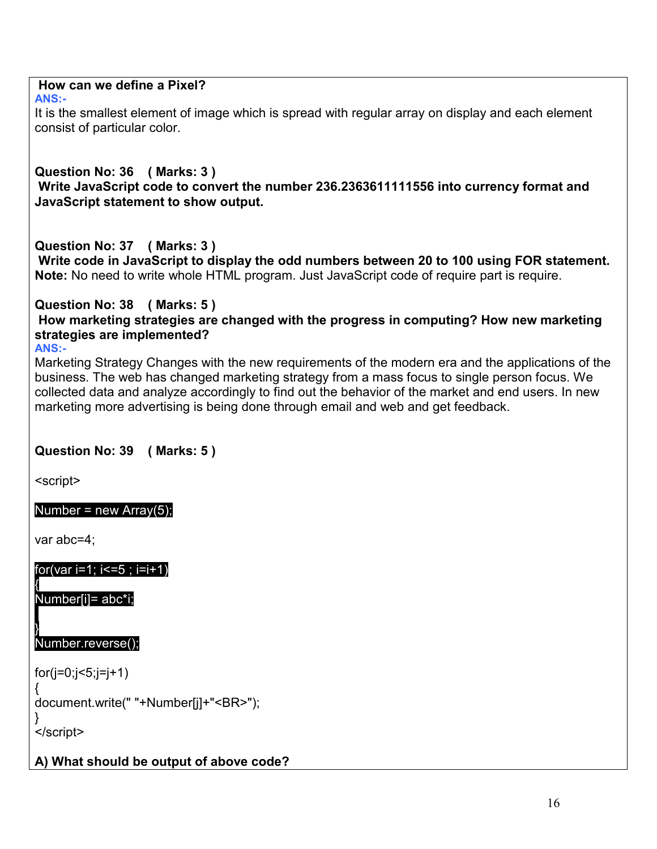# **How can we define a Pixel?**

**ANS:-**

It is the smallest element of image which is spread with regular array on display and each element consist of particular color.

## **Question No: 36 ( Marks: 3 ) Write JavaScript code to convert the number 236.2363611111556 into currency format and JavaScript statement to show output.**

**Question No: 37 ( Marks: 3 )**

 **Write code in JavaScript to display the odd numbers between 20 to 100 using FOR statement. Note:** No need to write whole HTML program. Just JavaScript code of require part is require.

#### **Question No: 38 ( Marks: 5 ) How marketing strategies are changed with the progress in computing? How new marketing strategies are implemented? ANS:-**

Marketing Strategy Changes with the new requirements of the modern era and the applications of the business. The web has changed marketing strategy from a mass focus to single person focus. We collected data and analyze accordingly to find out the behavior of the market and end users. In new marketing more advertising is being done through email and web and get feedback.

# **Question No: 39 ( Marks: 5 )**

<script>

# Number = new  $Array(5)$ ;

var abc=4;

for(var i=1; i<=5 ; i=i+1)

{ Number[i]= abc\*i;

#### } Number.reverse();

for(j=0;j<5;j=j+1)

```
{
document.write(" "+Number[j]+"<BR>");
```
} </script>

# **A) What should be output of above code?**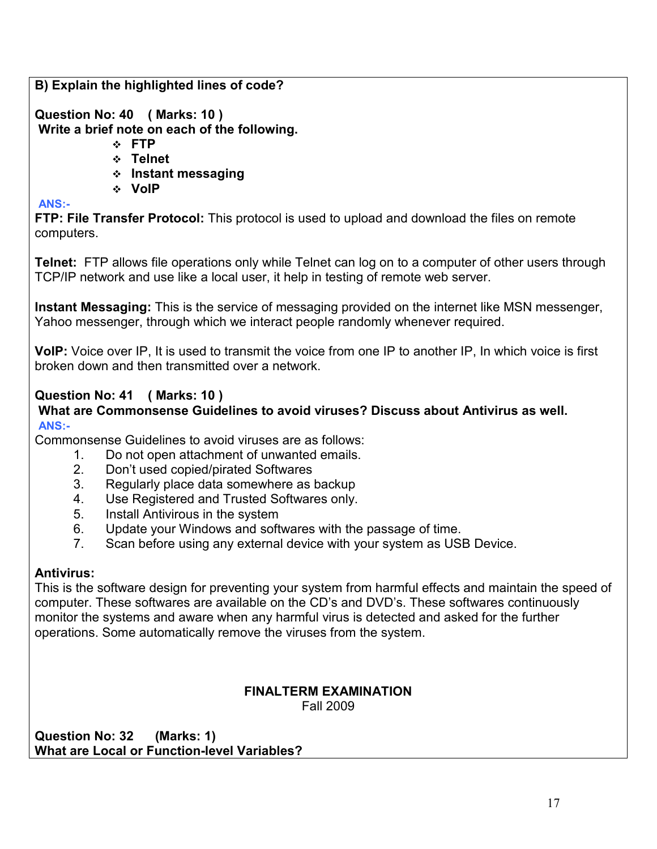**B) Explain the highlighted lines of code?**

**Question No: 40 ( Marks: 10 ) Write a brief note on each of the following.**

- v **FTP**
- v **Telnet**
- v **Instant messaging**
- v **VoIP**

**ANS:-**

**FTP: File Transfer Protocol:** This protocol is used to upload and download the files on remote computers.

**Telnet:** FTP allows file operations only while Telnet can log on to a computer of other users through TCP/IP network and use like a local user, it help in testing of remote web server.

**Instant Messaging:** This is the service of messaging provided on the internet like MSN messenger, Yahoo messenger, through which we interact people randomly whenever required.

**VoIP:** Voice over IP, It is used to transmit the voice from one IP to another IP, In which voice is first broken down and then transmitted over a network.

# **Question No: 41 ( Marks: 10 )**

## **What are Commonsense Guidelines to avoid viruses? Discuss about Antivirus as well. ANS:-**

Commonsense Guidelines to avoid viruses are as follows:

- 1. Do not open attachment of unwanted emails.
	- 2. Don't used copied/pirated Softwares
	- 3. Regularly place data somewhere as backup
	- 4. Use Registered and Trusted Softwares only.
	- 5. Install Antivirous in the system
	- 6. Update your Windows and softwares with the passage of time.
	- 7. Scan before using any external device with your system as USB Device.

# **Antivirus:**

This is the software design for preventing your system from harmful effects and maintain the speed of computer. These softwares are available on the CD's and DVD's. These softwares continuously monitor the systems and aware when any harmful virus is detected and asked for the further operations. Some automatically remove the viruses from the system.

## **FINALTERM EXAMINATION** Fall 2009

**Question No: 32 (Marks: 1) What are Local or Function-level Variables?**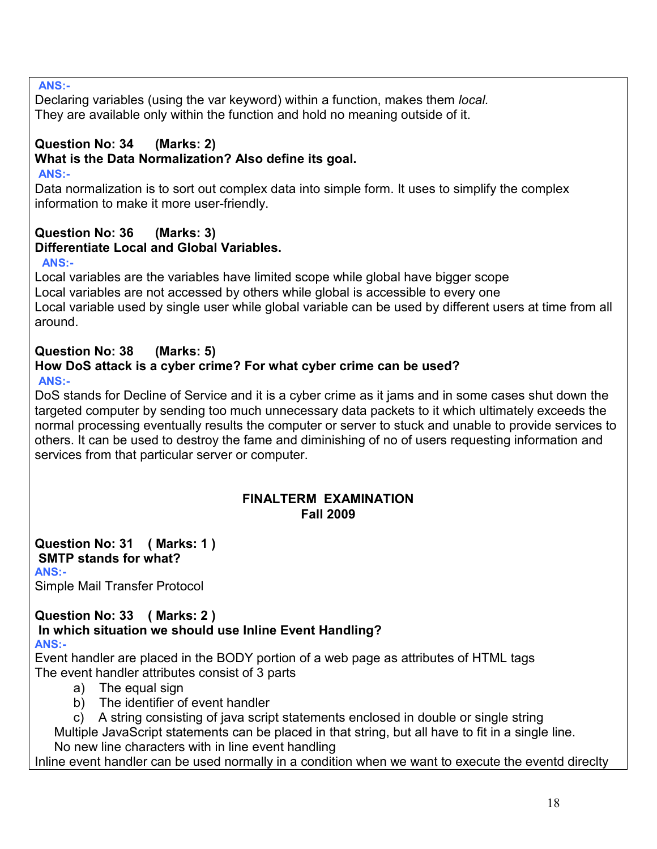## **ANS:-**

Declaring variables (using the var keyword) within a function, makes them *local.*  They are available only within the function and hold no meaning outside of it.

# **Question No: 34 (Marks: 2)**

# **What is the Data Normalization? Also define its goal.**

## **ANS:-**

Data normalization is to sort out complex data into simple form. It uses to simplify the complex information to make it more user-friendly.

### **Question No: 36 (Marks: 3) Differentiate Local and Global Variables.**

## **ANS:-**

Local variables are the variables have limited scope while global have bigger scope Local variables are not accessed by others while global is accessible to every one Local variable used by single user while global variable can be used by different users at time from all around.

## **Question No: 38 (Marks: 5) How DoS attack is a cyber crime? For what cyber crime can be used? ANS:-**

DoS stands for Decline of Service and it is a cyber crime as it jams and in some cases shut down the targeted computer by sending too much unnecessary data packets to it which ultimately exceeds the normal processing eventually results the computer or server to stuck and unable to provide services to others. It can be used to destroy the fame and diminishing of no of users requesting information and services from that particular server or computer.

## **FINALTERM EXAMINATION Fall 2009**

#### **Question No: 31 ( Marks: 1 ) SMTP stands for what? ANS:-**

Simple Mail Transfer Protocol

### **Question No: 33 ( Marks: 2 ) In which situation we should use Inline Event Handling? ANS:-**

Event handler are placed in the BODY portion of a web page as attributes of HTML tags The event handler attributes consist of 3 parts

- a) The equal sign
- b) The identifier of event handler
- c) A string consisting of java script statements enclosed in double or single string

Multiple JavaScript statements can be placed in that string, but all have to fit in a single line. No new line characters with in line event handling

Inline event handler can be used normally in a condition when we want to execute the eventd direclty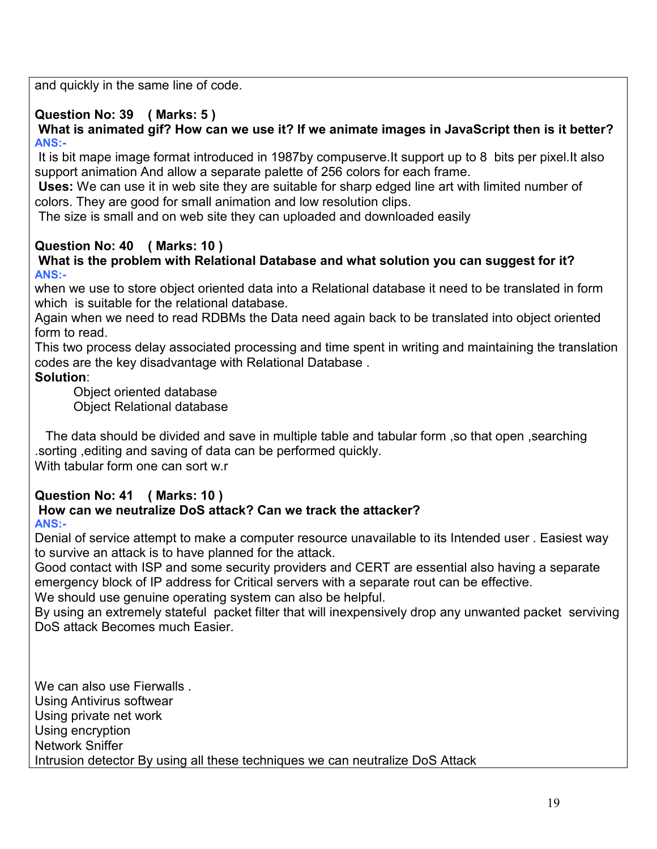and quickly in the same line of code.

# **Question No: 39 ( Marks: 5 )**

 **What is animated gif? How can we use it? If we animate images in JavaScript then is it better? ANS:-**

 It is bit mape image format introduced in 1987by compuserve.It support up to 8 bits per pixel.It also support animation And allow a separate palette of 256 colors for each frame.

 **Uses:** We can use it in web site they are suitable for sharp edged line art with limited number of colors. They are good for small animation and low resolution clips.

The size is small and on web site they can uploaded and downloaded easily

## **Question No: 40 ( Marks: 10 )**

## **What is the problem with Relational Database and what solution you can suggest for it? ANS:-**

when we use to store object oriented data into a Relational database it need to be translated in form which is suitable for the relational database.

Again when we need to read RDBMs the Data need again back to be translated into object oriented form to read.

This two process delay associated processing and time spent in writing and maintaining the translation codes are the key disadvantage with Relational Database .

## **Solution**:

Object oriented database Object Relational database

 The data should be divided and save in multiple table and tabular form ,so that open ,searching .sorting ,editing and saving of data can be performed quickly. With tabular form one can sort w.r

# **Question No: 41 ( Marks: 10 )**

### **How can we neutralize DoS attack? Can we track the attacker? ANS:-**

Denial of service attempt to make a computer resource unavailable to its Intended user . Easiest way to survive an attack is to have planned for the attack.

Good contact with ISP and some security providers and CERT are essential also having a separate emergency block of IP address for Critical servers with a separate rout can be effective.

We should use genuine operating system can also be helpful.

By using an extremely stateful packet filter that will inexpensively drop any unwanted packet serviving DoS attack Becomes much Easier.

We can also use Fierwalls Using Antivirus softwear Using private net work Using encryption Network Sniffer Intrusion detector By using all these techniques we can neutralize DoS Attack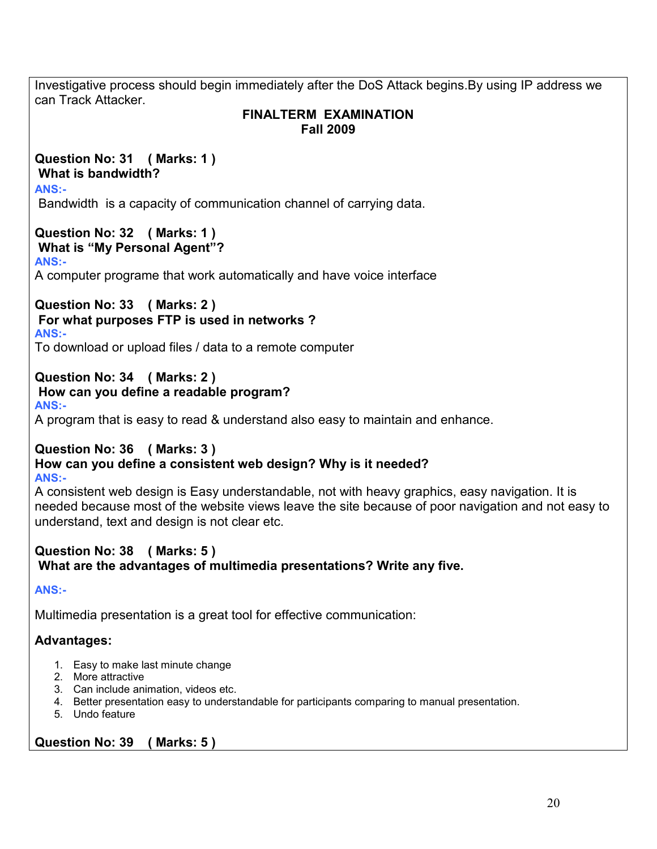Investigative process should begin immediately after the DoS Attack begins.By using IP address we can Track Attacker. **FINALTERM EXAMINATION Fall 2009 Question No: 31 ( Marks: 1 ) What is bandwidth? ANS:-** Bandwidth is a capacity of communication channel of carrying data. **Question No: 32 ( Marks: 1 ) What is "My Personal Agent"? ANS:-** A computer programe that work automatically and have voice interface **Question No: 33 ( Marks: 2 ) For what purposes FTP is used in networks ? ANS:-** To download or upload files / data to a remote computer **Question No: 34 ( Marks: 2 ) How can you define a readable program? ANS:-** A program that is easy to read & understand also easy to maintain and enhance. **Question No: 36 ( Marks: 3 ) How can you define a consistent web design? Why is it needed? ANS:-** A consistent web design is Easy understandable, not with heavy graphics, easy navigation. It is needed because most of the website views leave the site because of poor navigation and not easy to understand, text and design is not clear etc. **Question No: 38 ( Marks: 5 ) What are the advantages of multimedia presentations? Write any five. ANS:-** Multimedia presentation is a great tool for effective communication: **Advantages:** 1. Easy to make last minute change 2. More attractive 3. Can include animation, videos etc. 4. Better presentation easy to understandable for participants comparing to manual presentation. 5. Undo feature **Question No: 39 ( Marks: 5 )**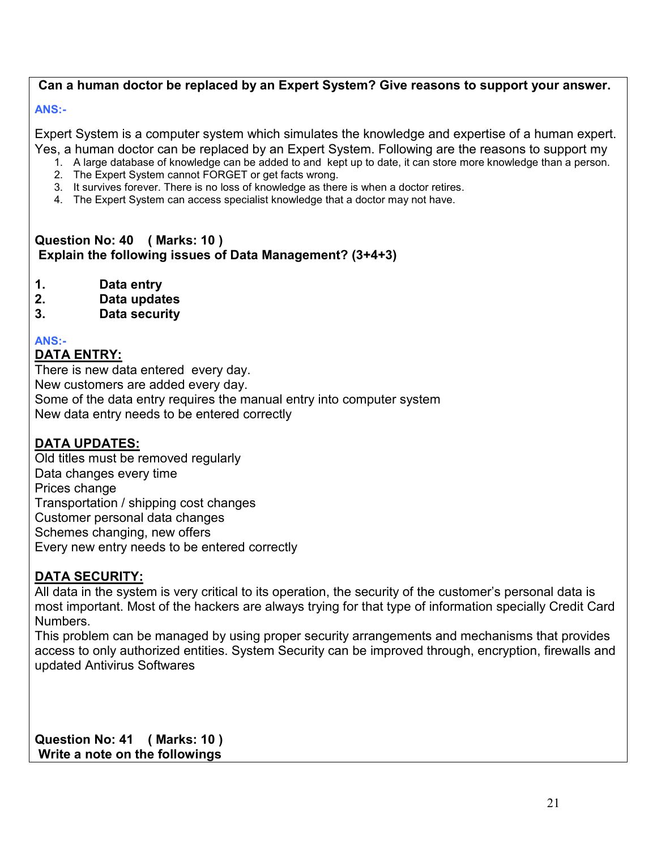# **Can a human doctor be replaced by an Expert System? Give reasons to support your answer.**

## **ANS:-**

Expert System is a computer system which simulates the knowledge and expertise of a human expert. Yes, a human doctor can be replaced by an Expert System. Following are the reasons to support my

- 1. A large database of knowledge can be added to and kept up to date, it can store more knowledge than a person.
- 2. The Expert System cannot FORGET or get facts wrong.
- 3. It survives forever. There is no loss of knowledge as there is when a doctor retires.
- 4. The Expert System can access specialist knowledge that a doctor may not have.

## **Question No: 40 ( Marks: 10 ) Explain the following issues of Data Management? (3+4+3)**

- **1. Data entry**
- **2. Data updates**
- **3. Data security**

## **ANS:-**

## **DATA ENTRY:**

There is new data entered every day. New customers are added every day. Some of the data entry requires the manual entry into computer system New data entry needs to be entered correctly

## **DATA UPDATES:**

Old titles must be removed regularly Data changes every time Prices change Transportation / shipping cost changes Customer personal data changes Schemes changing, new offers Every new entry needs to be entered correctly

## **DATA SECURITY:**

All data in the system is very critical to its operation, the security of the customer's personal data is most important. Most of the hackers are always trying for that type of information specially Credit Card Numbers.

This problem can be managed by using proper security arrangements and mechanisms that provides access to only authorized entities. System Security can be improved through, encryption, firewalls and updated Antivirus Softwares

**Question No: 41 ( Marks: 10 ) Write a note on the followings**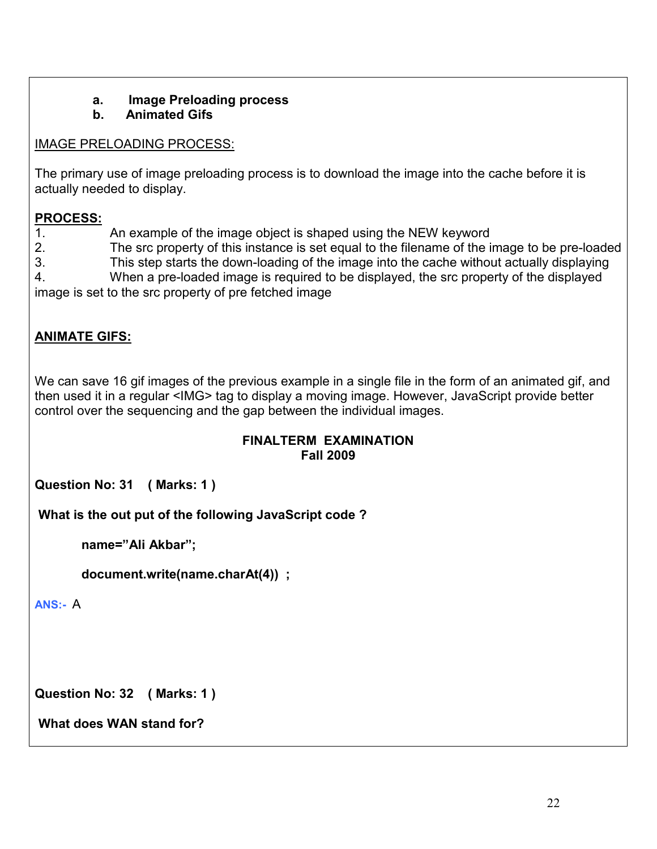#### **a. Image Preloading process b. Animated Gifs**

# IMAGE PRELOADING PROCESS:

The primary use of image preloading process is to download the image into the cache before it is actually needed to display.

# **PROCESS:**

1. An example of the image object is shaped using the NEW keyword

2. The src property of this instance is set equal to the filename of the image to be pre-loaded

3. This step starts the down-loading of the image into the cache without actually displaying

4. When a pre-loaded image is required to be displayed, the src property of the displayed image is set to the src property of pre fetched image

# **ANIMATE GIFS:**

We can save 16 gif images of the previous example in a single file in the form of an animated gif, and then used it in a regular <IMG> tag to display a moving image. However, JavaScript provide better control over the sequencing and the gap between the individual images.

## **FINALTERM EXAMINATION Fall 2009**

**Question No: 31 ( Marks: 1 )** 

 **What is the out put of the following JavaScript code ?** 

 **name="Ali Akbar";** 

 **document.write(name.charAt(4)) ;** 

**ANS:-** A

**Question No: 32 ( Marks: 1 )** 

 **What does WAN stand for?**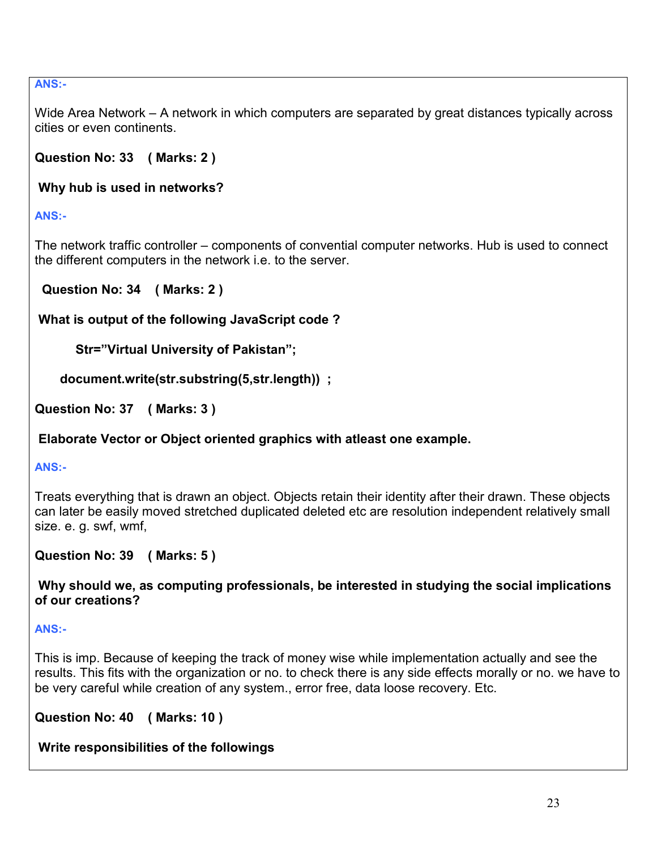## **ANS:-**

Wide Area Network – A network in which computers are separated by great distances typically across cities or even continents.

**Question No: 33 ( Marks: 2 )** 

 **Why hub is used in networks?** 

**ANS:-**

The network traffic controller – components of convential computer networks. Hub is used to connect the different computers in the network i.e. to the server.

 **Question No: 34 ( Marks: 2 )** 

 **What is output of the following JavaScript code ?** 

 **Str="Virtual University of Pakistan";** 

 **document.write(str.substring(5,str.length)) ;** 

**Question No: 37 ( Marks: 3 )** 

 **Elaborate Vector or Object oriented graphics with atleast one example.** 

**ANS:-**

Treats everything that is drawn an object. Objects retain their identity after their drawn. These objects can later be easily moved stretched duplicated deleted etc are resolution independent relatively small size. e. g. swf, wmf,

**Question No: 39 ( Marks: 5 )** 

 **Why should we, as computing professionals, be interested in studying the social implications of our creations?** 

**ANS:-**

This is imp. Because of keeping the track of money wise while implementation actually and see the results. This fits with the organization or no. to check there is any side effects morally or no. we have to be very careful while creation of any system., error free, data loose recovery. Etc.

**Question No: 40 ( Marks: 10 )** 

 **Write responsibilities of the followings**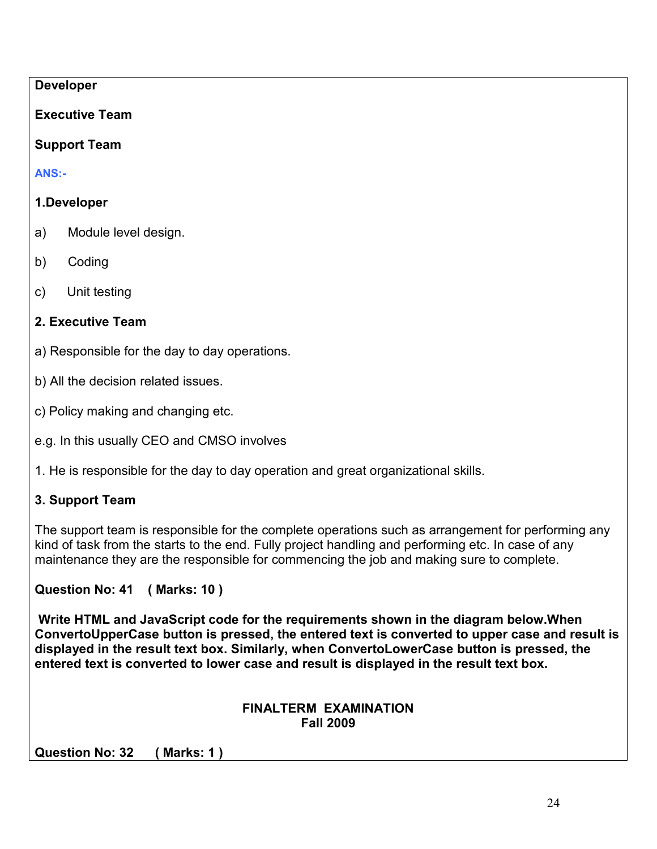## **Developer**

# **Executive Team**

# **Support Team**

**ANS:-**

# **1.Developer**

- a) Module level design.
- b) Coding
- c) Unit testing

# **2. Executive Team**

- a) Responsible for the day to day operations.
- b) All the decision related issues.
- c) Policy making and changing etc.
- e.g. In this usually CEO and CMSO involves
- 1. He is responsible for the day to day operation and great organizational skills.

# **3. Support Team**

The support team is responsible for the complete operations such as arrangement for performing any kind of task from the starts to the end. Fully project handling and performing etc. In case of any maintenance they are the responsible for commencing the job and making sure to complete.

# **Question No: 41 ( Marks: 10 )**

 **Write HTML and JavaScript code for the requirements shown in the diagram below.When ConvertoUpperCase button is pressed, the entered text is converted to upper case and result is displayed in the result text box. Similarly, when ConvertoLowerCase button is pressed, the entered text is converted to lower case and result is displayed in the result text box.** 

## **FINALTERM EXAMINATION Fall 2009**

**Question No: 32 ( Marks: 1 )**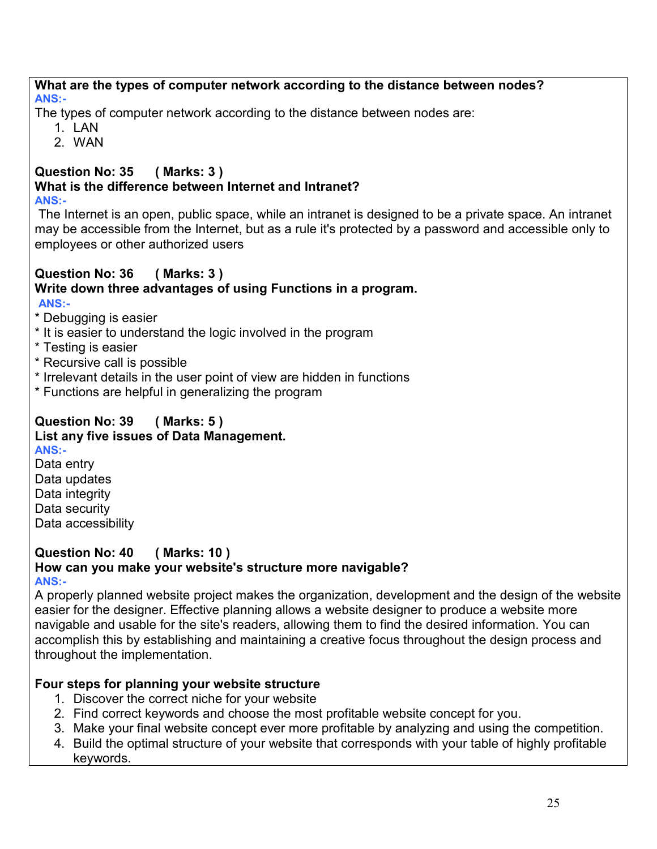### **What are the types of computer network according to the distance between nodes? ANS:-**

The types of computer network according to the distance between nodes are:

- $1$   $1$   $AN$
- 2. WAN

### **Question No: 35 ( Marks: 3 ) What is the difference between Internet and Intranet? ANS:-**

The Internet is an open, public space, while an intranet is designed to be a private space. An intranet may be accessible from the Internet, but as a rule it's protected by a password and accessible only to employees or other authorized users

# **Question No: 36 ( Marks: 3 ) Write down three advantages of using Functions in a program.**

**ANS:-**

- \* Debugging is easier
- \* It is easier to understand the logic involved in the program
- \* Testing is easier
- \* Recursive call is possible
- \* Irrelevant details in the user point of view are hidden in functions
- \* Functions are helpful in generalizing the program

### **Question No: 39 ( Marks: 5 ) List any five issues of Data Management. ANS:-**

Data entry Data updates Data integrity Data security Data accessibility

### **Question No: 40 ( Marks: 10 ) How can you make your website's structure more navigable? ANS:-**

A properly planned website project makes the organization, development and the design of the website easier for the designer. Effective planning allows a website designer to produce a website more navigable and usable for the site's readers, allowing them to find the desired information. You can accomplish this by establishing and maintaining a creative focus throughout the design process and throughout the implementation.

# **Four steps for planning your website structure**

- 1. Discover the correct niche for your website
- 2. Find correct keywords and choose the most profitable website concept for you.
- 3. Make your final website concept ever more profitable by analyzing and using the competition.
- 4. Build the optimal structure of your website that corresponds with your table of highly profitable keywords.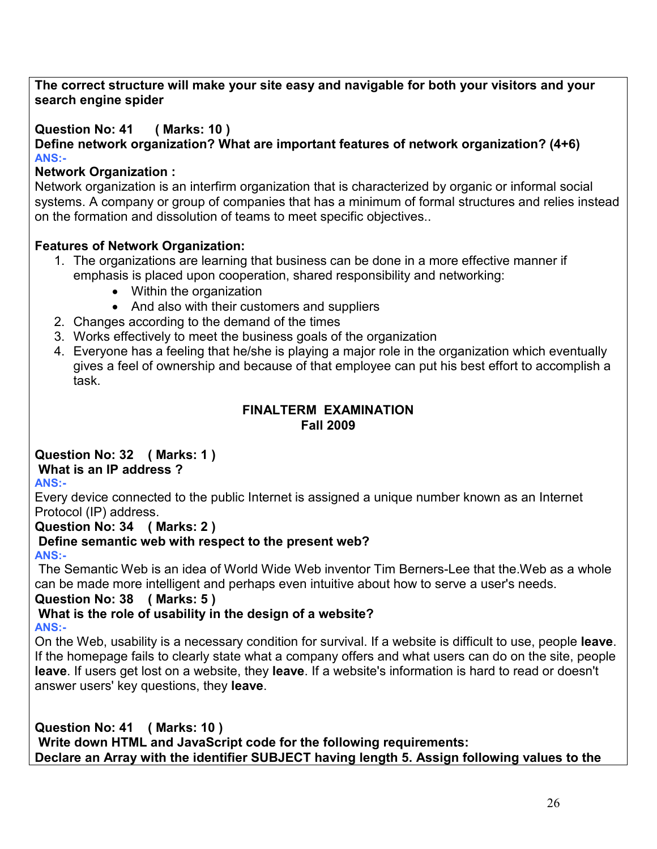## **The correct structure will make your site easy and navigable for both your visitors and your search engine spider**

**Question No: 41 ( Marks: 10 )**

**Define network organization? What are important features of network organization? (4+6) ANS:-**

## **Network Organization :**

Network organization is an interfirm organization that is characterized by organic or informal social systems. A company or group of companies that has a minimum of formal structures and relies instead on the formation and dissolution of teams to meet specific objectives..

## **Features of Network Organization:**

- 1. The organizations are learning that business can be done in a more effective manner if emphasis is placed upon cooperation, shared responsibility and networking:
	- Within the organization
	- And also with their customers and suppliers
- 2. Changes according to the demand of the times
- 3. Works effectively to meet the business goals of the organization
- 4. Everyone has a feeling that he/she is playing a major role in the organization which eventually gives a feel of ownership and because of that employee can put his best effort to accomplish a task.

## **FINALTERM EXAMINATION Fall 2009**

# **Question No: 32 ( Marks: 1 )**

# **What is an IP address ?**

**ANS:-**

Every device connected to the public Internet is assigned a unique number known as an Internet Protocol (IP) address.

**Question No: 34 ( Marks: 2 )**

# **Define semantic web with respect to the present web?**

**ANS:-**

 The Semantic Web is an idea of World Wide Web inventor Tim Berners-Lee that the.Web as a whole can be made more intelligent and perhaps even intuitive about how to serve a user's needs.

## **Question No: 38 ( Marks: 5 )**

### **What is the role of usability in the design of a website? ANS:-**

On the Web, usability is a necessary condition for survival. If a website is difficult to use, people **leave**. If the [homepage](http://www.useit.com/alertbox/20020512.html) fails to clearly state what a company offers and what users can do on the site, people **leave**. If users get lost on a website, they **leave**. If a website's information is hard to read or doesn't answer users' key questions, they **leave**.

**Question No: 41 ( Marks: 10 ) Write down HTML and JavaScript code for the following requirements: Declare an Array with the identifier SUBJECT having length 5. Assign following values to the**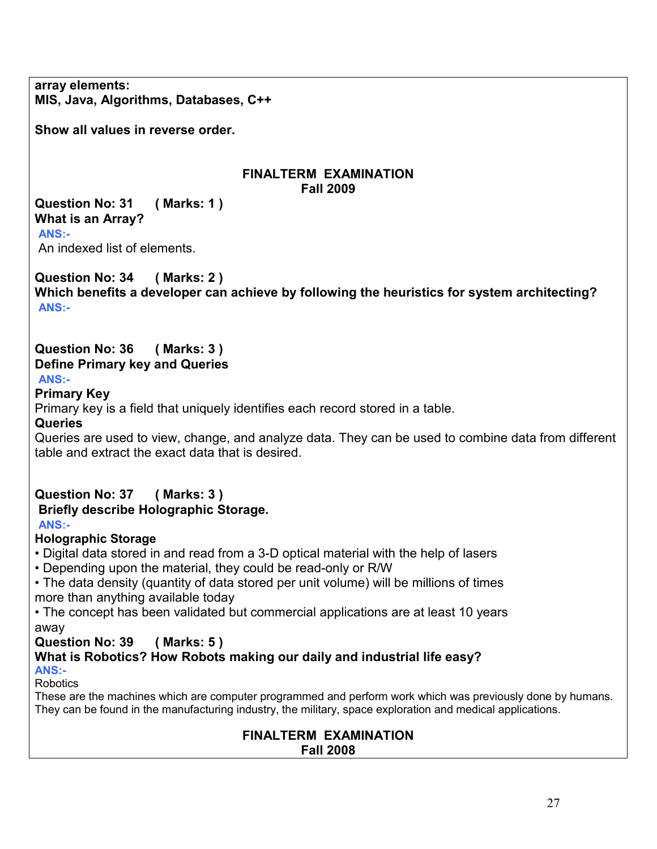**array elements: MIS, Java, Algorithms, Databases, C++**

**Show all values in reverse order.** 

### **FINALTERM EXAMINATION Fall 2009**

**Question No: 31 ( Marks: 1 ) What is an Array?**

**ANS:-**

An indexed list of elements.

**Question No: 34 ( Marks: 2 ) Which benefits a developer can achieve by following the heuristics for system architecting? ANS:-**

# **Question No: 36 ( Marks: 3 ) Define Primary key and Queries**

## **ANS:-**

## **Primary Key**

Primary key is a field that uniquely identifies each record stored in a table.

**Queries** 

Queries are used to view, change, and analyze data. They can be used to combine data from different table and extract the exact data that is desired.

### **Question No: 37 ( Marks: 3 ) Briefly describe Holographic Storage. ANS:-**

# **Holographic Storage**

• Digital data stored in and read from a 3-D optical material with the help of lasers

• Depending upon the material, they could be read-only or R/W

• The data density (quantity of data stored per unit volume) will be millions of times more than anything available today

• The concept has been validated but commercial applications are at least 10 years away

# **Question No: 39 ( Marks: 5 )**

**What is Robotics? How Robots making our daily and industrial life easy? ANS:-** 

Robotics

These are the machines which are computer programmed and perform work which was previously done by humans. They can be found in the manufacturing industry, the military, space exploration and medical applications.

# **FINALTERM EXAMINATION**

**Fall 2008**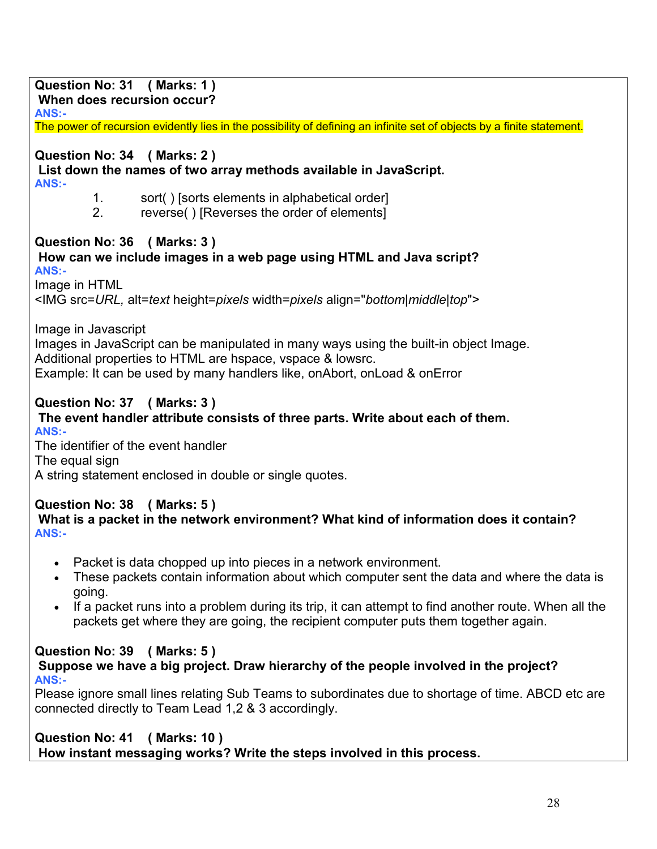| Question No: 31 (Marks: 1)<br>When does recursion occur?                                                                                                                                                                                                  |
|-----------------------------------------------------------------------------------------------------------------------------------------------------------------------------------------------------------------------------------------------------------|
| ANS:-                                                                                                                                                                                                                                                     |
| The power of recursion evidently lies in the possibility of defining an infinite set of objects by a finite statement.                                                                                                                                    |
| Question No: 34 (Marks: 2)<br>List down the names of two array methods available in JavaScript.<br><b>ANS:-</b>                                                                                                                                           |
| sort() [sorts elements in alphabetical order]<br>$1_{\cdot}$<br>2.<br>reverse() [Reverses the order of elements]                                                                                                                                          |
| Question No: 36 (Marks: 3)<br>How can we include images in a web page using HTML and Java script?<br><b>ANS:-</b>                                                                                                                                         |
| Image in HTML<br><img align="bottom middle top" alt="text" height="pixels" src="URL," width="pixels"/>                                                                                                                                                    |
| Image in Javascript<br>Images in JavaScript can be manipulated in many ways using the built-in object Image.<br>Additional properties to HTML are hspace, vspace & lowsrc.<br>Example: It can be used by many handlers like, on Abort, on Load & on Error |
| Question No: 37 (Marks: 3)<br>The event handler attribute consists of three parts. Write about each of them.<br><b>ANS:-</b><br>The identifier of the event handler<br>The equal sign<br>A string statement enclosed in double or single quotes.          |
| Question No: 38 (Marks: 5)<br>What is a packet in the network environment? What kind of information does it contain?<br><b>ANS:-</b>                                                                                                                      |
| Packet is data chopped up into pieces in a network environment.<br>These packets contain information about which computer sent the data and where the data is<br>going.                                                                                   |
| If a packet runs into a problem during its trip, it can attempt to find another route. When all the<br>$\bullet$<br>packets get where they are going, the recipient computer puts them together again.                                                    |
| Question No: 39 (Marks: 5)<br>Suppose we have a big project. Draw hierarchy of the people involved in the project?<br><b>ANS:-</b>                                                                                                                        |
| Please ignore small lines relating Sub Teams to subordinates due to shortage of time. ABCD etc are<br>connected directly to Team Lead 1,2 & 3 accordingly.                                                                                                |
| Question No: 41 (Marks: 10)                                                                                                                                                                                                                               |

 **How instant messaging works? Write the steps involved in this process.**